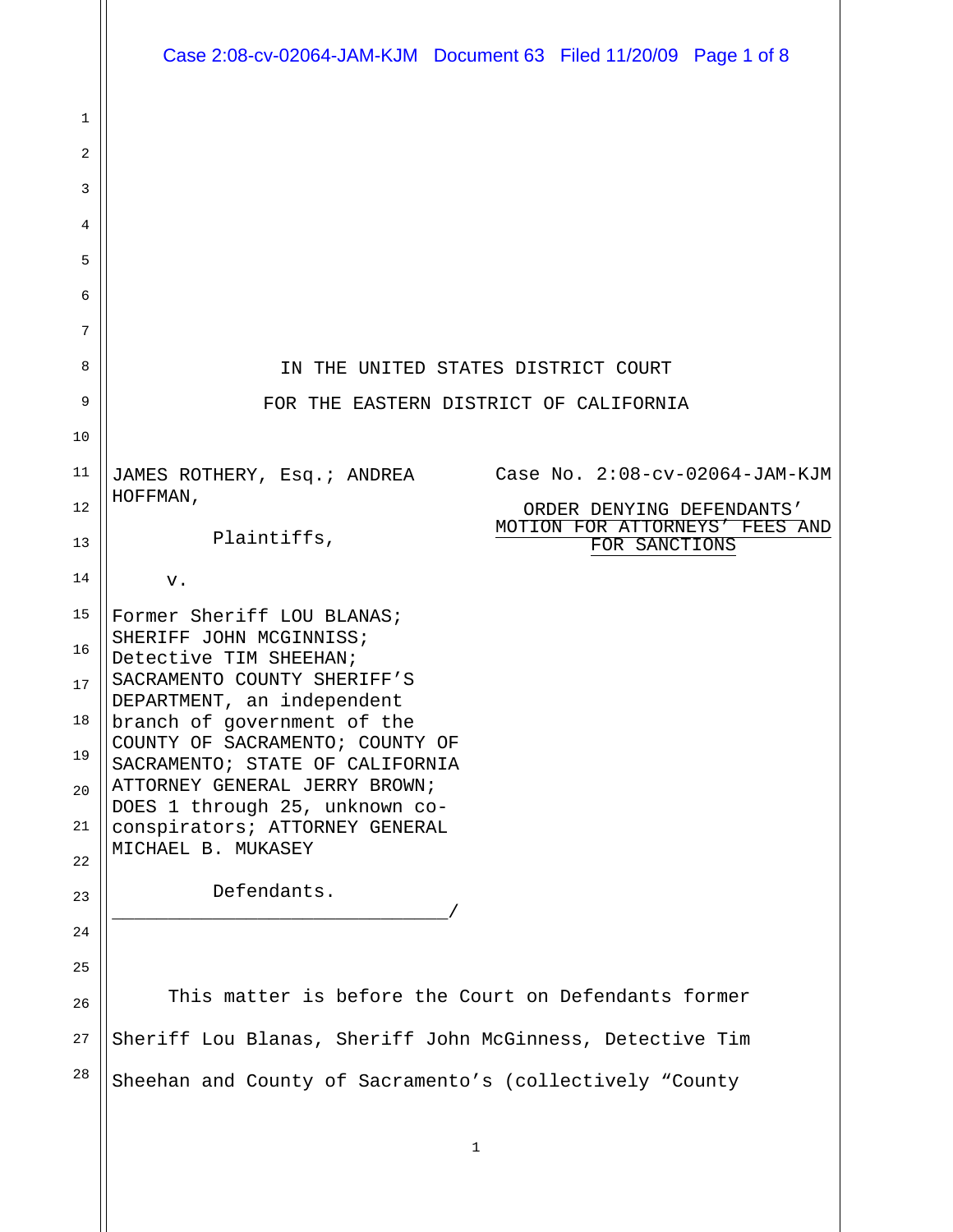|          | Case 2:08-cv-02064-JAM-KJM Document 63 Filed 11/20/09 Page 1 of 8                                              |
|----------|----------------------------------------------------------------------------------------------------------------|
| 1<br>2   |                                                                                                                |
| 3        |                                                                                                                |
| 4        |                                                                                                                |
| 5        |                                                                                                                |
| 6<br>7   |                                                                                                                |
| 8        | IN THE UNITED STATES DISTRICT COURT                                                                            |
| 9        | FOR THE EASTERN DISTRICT OF CALIFORNIA                                                                         |
| 10       |                                                                                                                |
| 11       | Case No. 2:08-cv-02064-JAM-KJM<br>JAMES ROTHERY, Esq.; ANDREA                                                  |
| 12<br>13 | HOFFMAN,<br>ORDER DENYING DEFENDANTS'<br>MOTION FOR ATTORNEYS' FEES AND<br>Plaintiffs,<br>FOR SANCTIONS        |
| 14       | v.                                                                                                             |
| 15       | Former Sheriff LOU BLANAS;                                                                                     |
| 16<br>17 | SHERIFF JOHN MCGINNISS;<br>Detective TIM SHEEHAN;<br>SACRAMENTO COUNTY SHERIFF'S<br>DEPARTMENT, an independent |
| 18<br>19 | branch of government of the<br>COUNTY OF SACRAMENTO; COUNTY OF<br>SACRAMENTO; STATE OF CALIFORNIA              |
| 20       | ATTORNEY GENERAL JERRY BROWN;<br>DOES 1 through 25, unknown co-                                                |
| 21       | conspirators; ATTORNEY GENERAL<br>MICHAEL B. MUKASEY                                                           |
| 22<br>23 | Defendants.                                                                                                    |
| 24       |                                                                                                                |
| 25       |                                                                                                                |
| 26       | This matter is before the Court on Defendants former                                                           |
| 27       | Sheriff Lou Blanas, Sheriff John McGinness, Detective Tim                                                      |
| 28       | Sheehan and County of Sacramento's (collectively "County                                                       |
|          | 1                                                                                                              |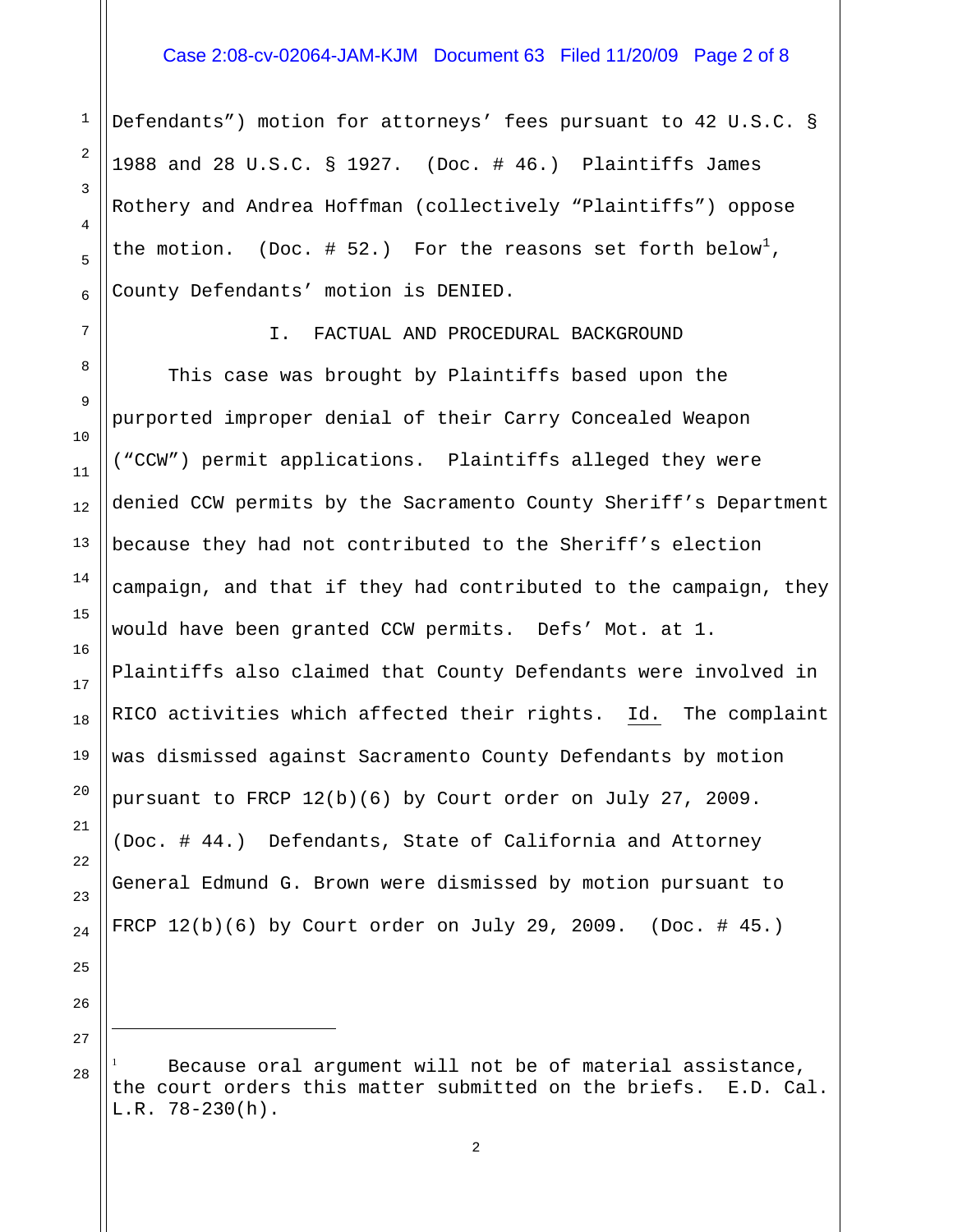#### Case 2:08-cv-02064-JAM-KJM Document 63 Filed 11/20/09 Page 2 of 8

Defendants") motion for attorneys' fees pursuant to 42 U.S.C. § 1988 and 28 U.S.C. § 1927. (Doc. # 46.) Plaintiffs James Rothery and Andrea Hoffman (collectively "Plaintiffs") oppose the motion. (Doc. # 52.) For the reasons set forth below<sup>[1](#page-1-0)</sup>, County Defendants' motion is DENIED.

1

2

3

4

5

6

7

8

9

10

11

12

13

14

15

16

17

18

19

20

21

22

23

24

25

#### I. FACTUAL AND PROCEDURAL BACKGROUND

 This case was brought by Plaintiffs based upon the purported improper denial of their Carry Concealed Weapon ("CCW") permit applications. Plaintiffs alleged they were denied CCW permits by the Sacramento County Sheriff's Department because they had not contributed to the Sheriff's election campaign, and that if they had contributed to the campaign, they would have been granted CCW permits. Defs' Mot. at 1. Plaintiffs also claimed that County Defendants were involved in RICO activities which affected their rights. Id. The complaint was dismissed against Sacramento County Defendants by motion pursuant to FRCP 12(b)(6) by Court order on July 27, 2009. (Doc. # 44.) Defendants, State of California and Attorney General Edmund G. Brown were dismissed by motion pursuant to FRCP  $12(b)(6)$  by Court order on July 29, 2009. (Doc. # 45.)

26

<span id="page-1-0"></span>27 28 ÷

<sup>1</sup> Because oral argument will not be of material assistance, the court orders this matter submitted on the briefs. E.D. Cal. L.R. 78-230(h).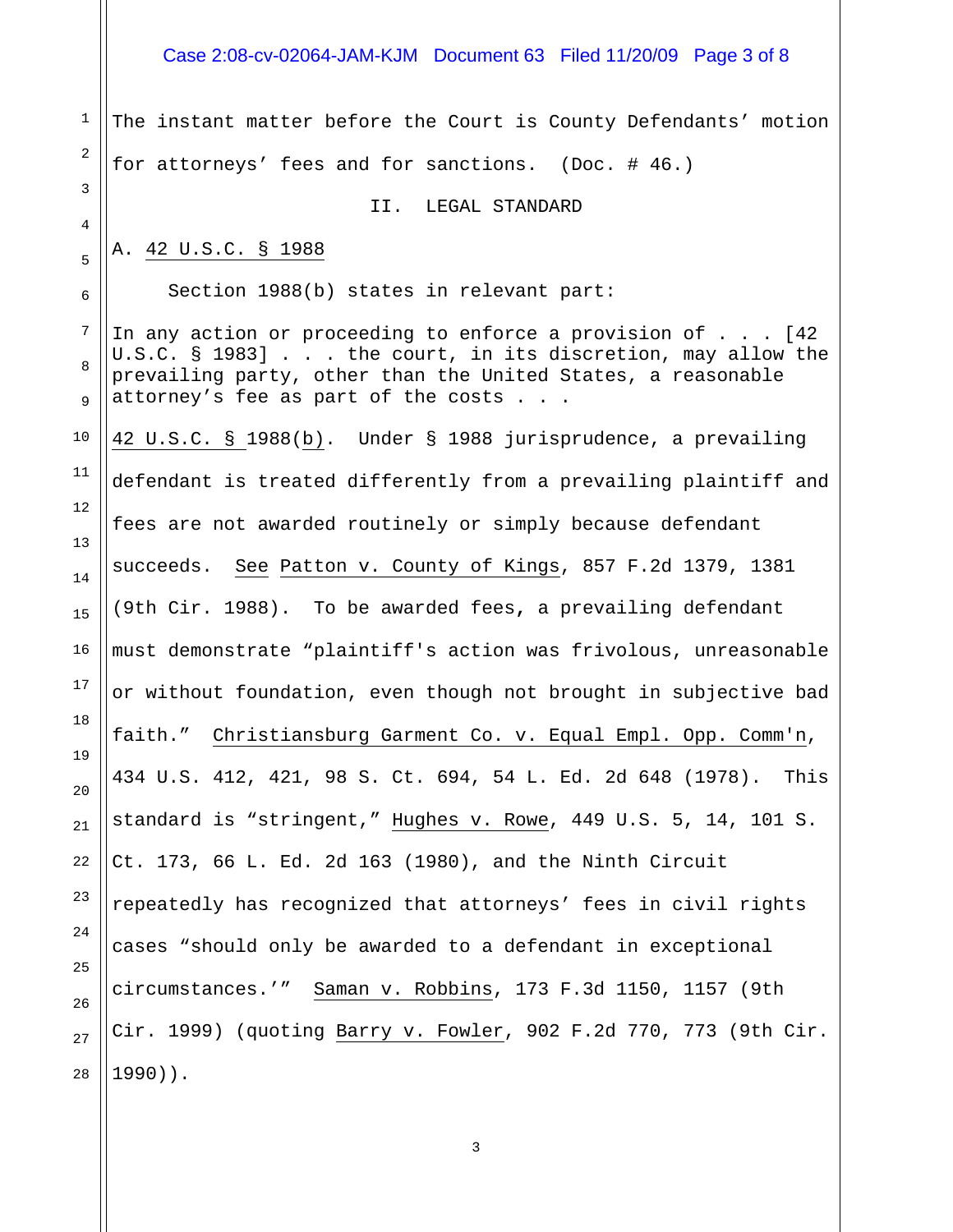# Case 2:08-cv-02064-JAM-KJM Document 63 Filed 11/20/09 Page 3 of 8

| $\mathbf 1$              | The instant matter before the Court is County Defendants' motion                                                                                                                                                                         |
|--------------------------|------------------------------------------------------------------------------------------------------------------------------------------------------------------------------------------------------------------------------------------|
| 2                        | for attorneys' fees and for sanctions. (Doc. # 46.)                                                                                                                                                                                      |
| 3                        | II. LEGAL STANDARD                                                                                                                                                                                                                       |
| 4<br>5                   | A. 42 U.S.C. § 1988                                                                                                                                                                                                                      |
| 6                        | Section 1988(b) states in relevant part:                                                                                                                                                                                                 |
| 7<br>8<br>$\overline{9}$ | In any action or proceeding to enforce a provision of $\ldots$ [42]<br>U.S.C. § 1983] the court, in its discretion, may allow the<br>prevailing party, other than the United States, a reasonable<br>attorney's fee as part of the costs |
| 10                       | 42 U.S.C. § 1988(b). Under § 1988 jurisprudence, a prevailing                                                                                                                                                                            |
| 11                       | defendant is treated differently from a prevailing plaintiff and                                                                                                                                                                         |
| 12<br>13                 | fees are not awarded routinely or simply because defendant                                                                                                                                                                               |
| 14                       | succeeds. See Patton v. County of Kings, 857 F.2d 1379, 1381                                                                                                                                                                             |
| 15                       | (9th Cir. 1988). To be awarded fees, a prevailing defendant                                                                                                                                                                              |
| 16                       | must demonstrate "plaintiff's action was frivolous, unreasonable                                                                                                                                                                         |
| 17                       | or without foundation, even though not brought in subjective bad                                                                                                                                                                         |
| 18<br>19                 | faith." Christiansburg Garment Co. v. Equal Empl. Opp. Comm'n,                                                                                                                                                                           |
| 20                       | 434 U.S. 412, 421, 98 S. Ct. 694, 54 L. Ed. 2d 648 (1978). This                                                                                                                                                                          |
| 21                       | standard is "stringent," Hughes v. Rowe, 449 U.S. 5, 14, 101 S.                                                                                                                                                                          |
| 22                       | Ct. 173, 66 L. Ed. 2d 163 (1980), and the Ninth Circuit                                                                                                                                                                                  |
| 23                       | repeatedly has recognized that attorneys' fees in civil rights                                                                                                                                                                           |
| 24                       | cases "should only be awarded to a defendant in exceptional                                                                                                                                                                              |
| 25<br>26                 | circumstances.'" Saman v. Robbins, 173 F.3d 1150, 1157 (9th                                                                                                                                                                              |
| 27                       | Cir. 1999) (quoting Barry v. Fowler, 902 F.2d 770, 773 (9th Cir.                                                                                                                                                                         |
| 28                       | $1990$ ) ).                                                                                                                                                                                                                              |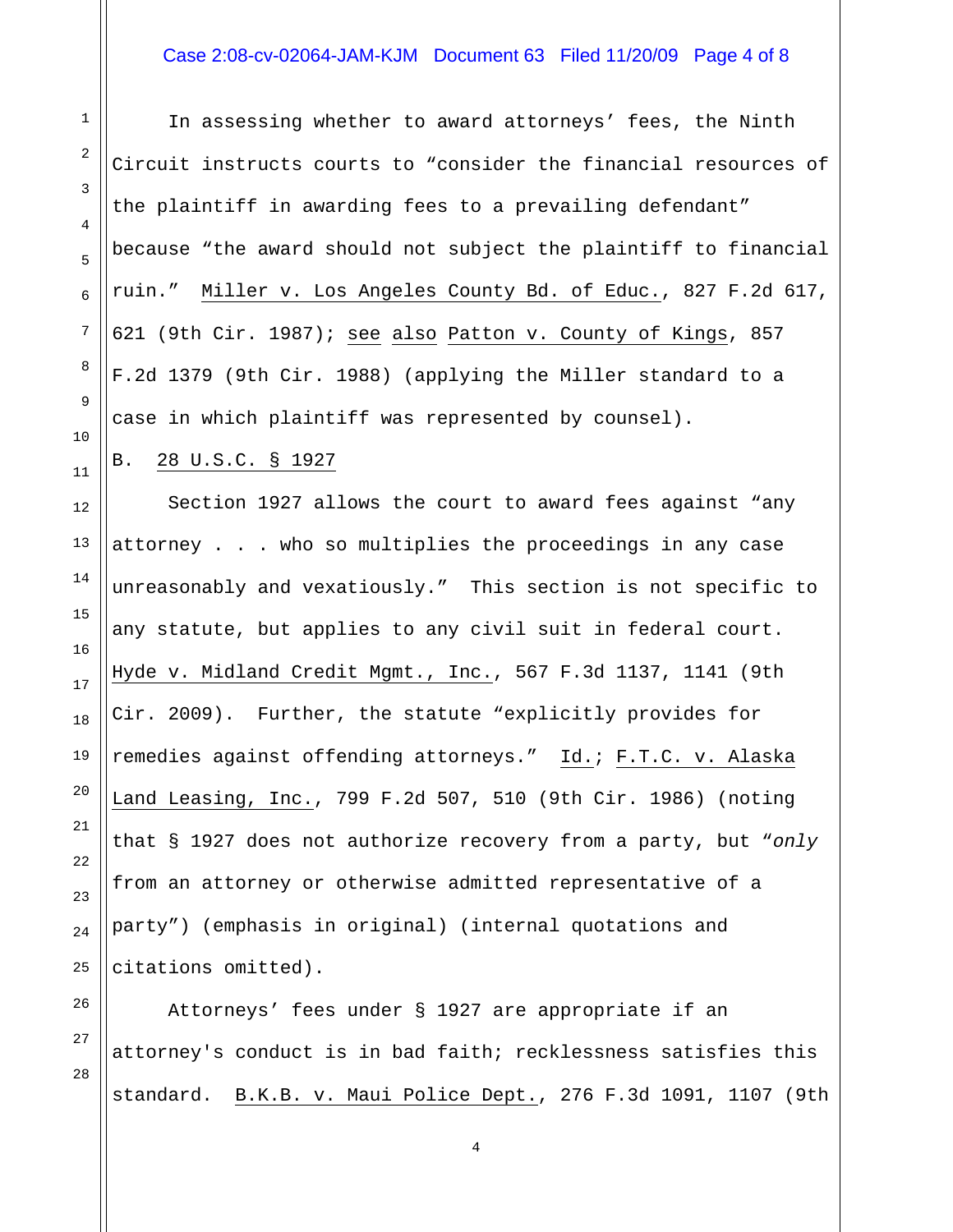### Case 2:08-cv-02064-JAM-KJM Document 63 Filed 11/20/09 Page 4 of 8

In assessing whether to award attorneys' fees, the Ninth Circuit instructs courts to "consider the financial resources of the plaintiff in awarding fees to a prevailing defendant" because "the award should not subject the plaintiff to financial ruin." Miller v. Los Angeles County Bd. of Educ., 827 F.2d 617, 621 (9th Cir. 1987); see also Patton v. County of Kings, 857 F.2d 1379 (9th Cir. 1988) (applying the Miller standard to a case in which plaintiff was represented by counsel).

## B. 28 U.S.C. § 1927

Section 1927 allows the court to award fees against "any attorney . . . who so multiplies the proceedings in any case unreasonably and vexatiously." This section is not specific to any statute, but applies to any civil suit in federal court. Hyde v. Midland Credit Mgmt., Inc., 567 F.3d 1137, 1141 (9th Cir. 2009). Further, the statute "explicitly provides for remedies against offending attorneys." Id.; F.T.C. v. Alaska Land Leasing, Inc., 799 F.2d 507, 510 (9th Cir. 1986) (noting that § 1927 does not authorize recovery from a party, but "*only* from an attorney or otherwise admitted representative of a party") (emphasis in original) (internal quotations and citations omitted).

Attorneys' fees under § 1927 are appropriate if an attorney's conduct is in bad faith; recklessness satisfies this standard. B.K.B. v. Maui Police Dept., 276 F.3d 1091, 1107 (9th

28

1

2

3

4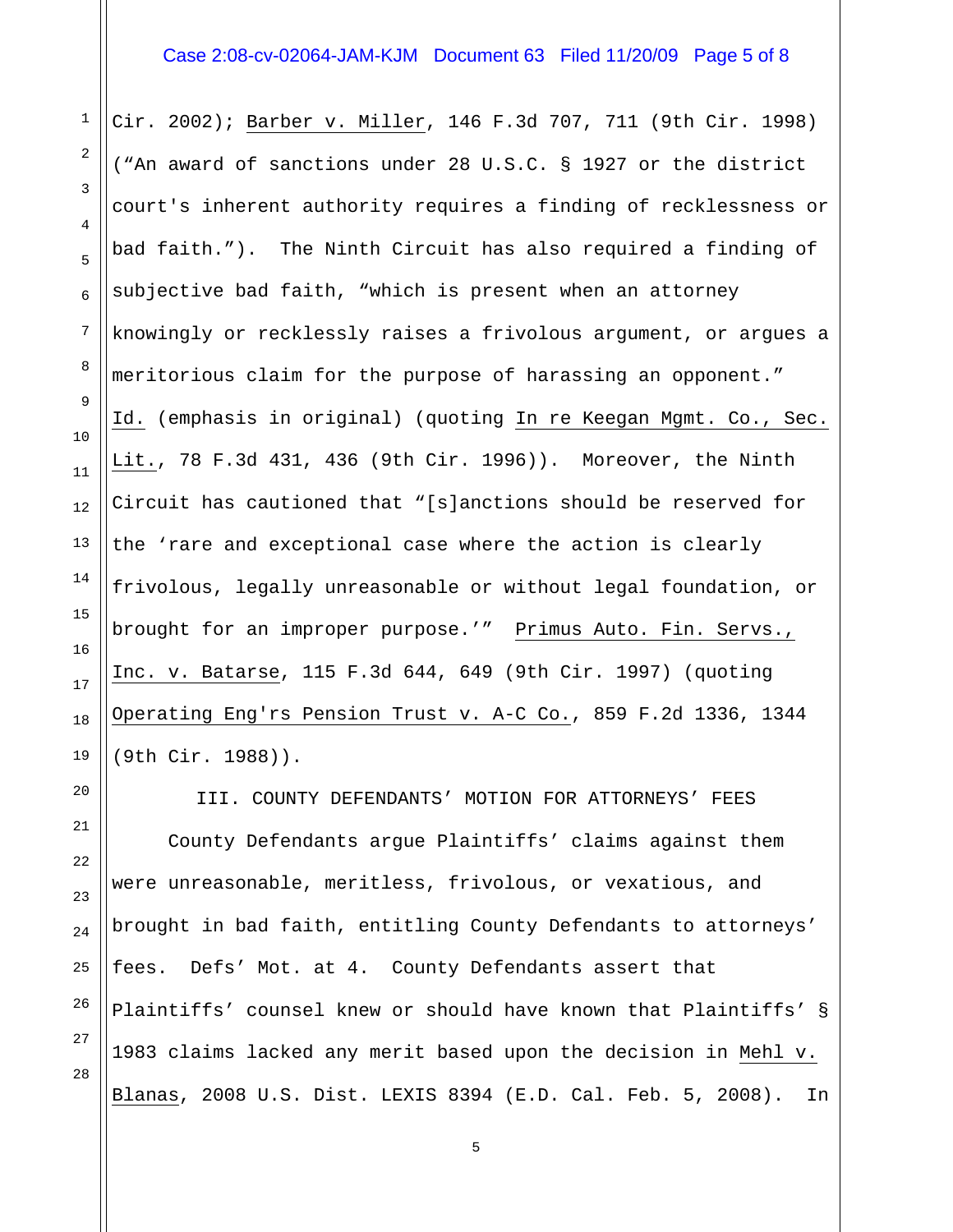## Case 2:08-cv-02064-JAM-KJM Document 63 Filed 11/20/09 Page 5 of 8

Cir. 2002); Barber v. Miller, 146 F.3d 707, 711 (9th Cir. 1998) ("An award of sanctions under 28 U.S.C. § 1927 or the district court's inherent authority requires a finding of recklessness or bad faith."). The Ninth Circuit has also required a finding of subjective bad faith, "which is present when an attorney knowingly or recklessly raises a frivolous argument, or argues a meritorious claim for the purpose of harassing an opponent." Id. (emphasis in original) (quoting In re Keegan Mgmt. Co., Sec. Lit., 78 F.3d 431, 436 (9th Cir. 1996)). Moreover, the Ninth Circuit has cautioned that "[s]anctions should be reserved for the 'rare and exceptional case where the action is clearly frivolous, legally unreasonable or without legal foundation, or brought for an improper purpose.'" Primus Auto. Fin. Servs., Inc. v. Batarse, 115 F.3d 644, 649 (9th Cir. 1997) (quoting Operating Eng'rs Pension Trust v. A-C Co., 859 F.2d 1336, 1344 (9th Cir. 1988)).

III. COUNTY DEFENDANTS' MOTION FOR ATTORNEYS' FEES County Defendants argue Plaintiffs' claims against them were unreasonable, meritless, frivolous, or vexatious, and brought in bad faith, entitling County Defendants to attorneys' fees. Defs' Mot. at 4. County Defendants assert that Plaintiffs' counsel knew or should have known that Plaintiffs' § 1983 claims lacked any merit based upon the decision in Mehl v. Blanas, 2008 U.S. Dist. LEXIS 8394 (E.D. Cal. Feb. 5, 2008). In

1

2

3

4

5

6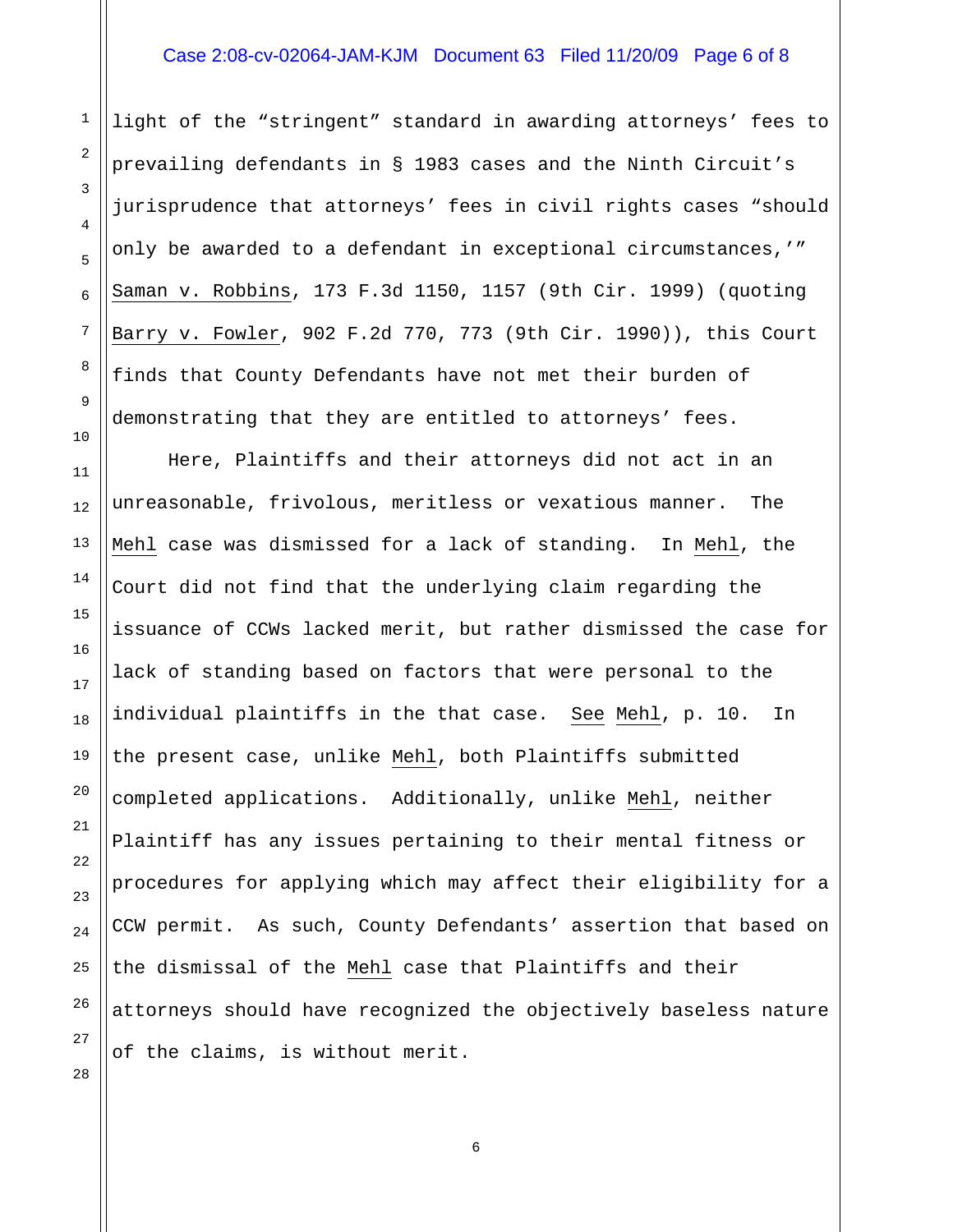#### Case 2:08-cv-02064-JAM-KJM Document 63 Filed 11/20/09 Page 6 of 8

light of the "stringent" standard in awarding attorneys' fees to prevailing defendants in § 1983 cases and the Ninth Circuit's jurisprudence that attorneys' fees in civil rights cases "should only be awarded to a defendant in exceptional circumstances,'" Saman v. Robbins, 173 F.3d 1150, 1157 (9th Cir. 1999) (quoting Barry v. Fowler, 902 F.2d 770, 773 (9th Cir. 1990)), this Court finds that County Defendants have not met their burden of demonstrating that they are entitled to attorneys' fees.

11 12 13 14 16 18 19 22 Here, Plaintiffs and their attorneys did not act in an unreasonable, frivolous, meritless or vexatious manner. The Mehl case was dismissed for a lack of standing. In Mehl, the Court did not find that the underlying claim regarding the issuance of CCWs lacked merit, but rather dismissed the case for lack of standing based on factors that were personal to the individual plaintiffs in the that case. See Mehl, p. 10. In the present case, unlike Mehl, both Plaintiffs submitted completed applications. Additionally, unlike Mehl, neither Plaintiff has any issues pertaining to their mental fitness or procedures for applying which may affect their eligibility for a CCW permit. As such, County Defendants' assertion that based on the dismissal of the Mehl case that Plaintiffs and their attorneys should have recognized the objectively baseless nature of the claims, is without merit.

28

1

2

3

4

5

6

7

8

9

10

15

17

20

21

23

24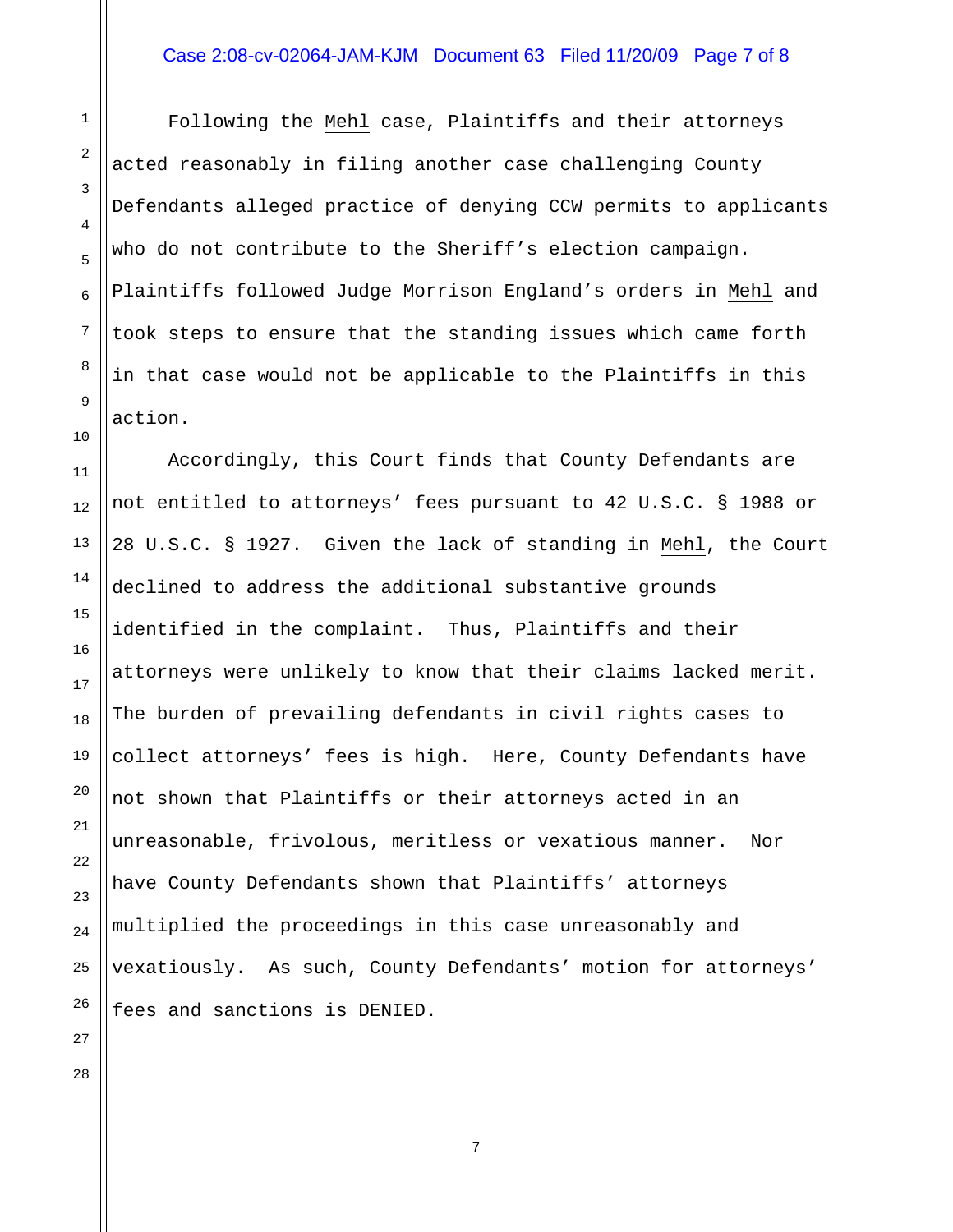### Case 2:08-cv-02064-JAM-KJM Document 63 Filed 11/20/09 Page 7 of 8

 Following the Mehl case, Plaintiffs and their attorneys acted reasonably in filing another case challenging County Defendants alleged practice of denying CCW permits to applicants who do not contribute to the Sheriff's election campaign. Plaintiffs followed Judge Morrison England's orders in Mehl and took steps to ensure that the standing issues which came forth in that case would not be applicable to the Plaintiffs in this action.

 Accordingly, this Court finds that County Defendants are not entitled to attorneys' fees pursuant to 42 U.S.C. § 1988 or 28 U.S.C. § 1927. Given the lack of standing in Mehl, the Court declined to address the additional substantive grounds identified in the complaint. Thus, Plaintiffs and their attorneys were unlikely to know that their claims lacked merit. The burden of prevailing defendants in civil rights cases to collect attorneys' fees is high. Here, County Defendants have not shown that Plaintiffs or their attorneys acted in an unreasonable, frivolous, meritless or vexatious manner. Nor have County Defendants shown that Plaintiffs' attorneys multiplied the proceedings in this case unreasonably and vexatiously. As such, County Defendants' motion for attorneys' fees and sanctions is DENIED.

7

1

2

3

4

5

6

7

8

9

10

11

12

13

14

15

16

17

18

19

20

21

22